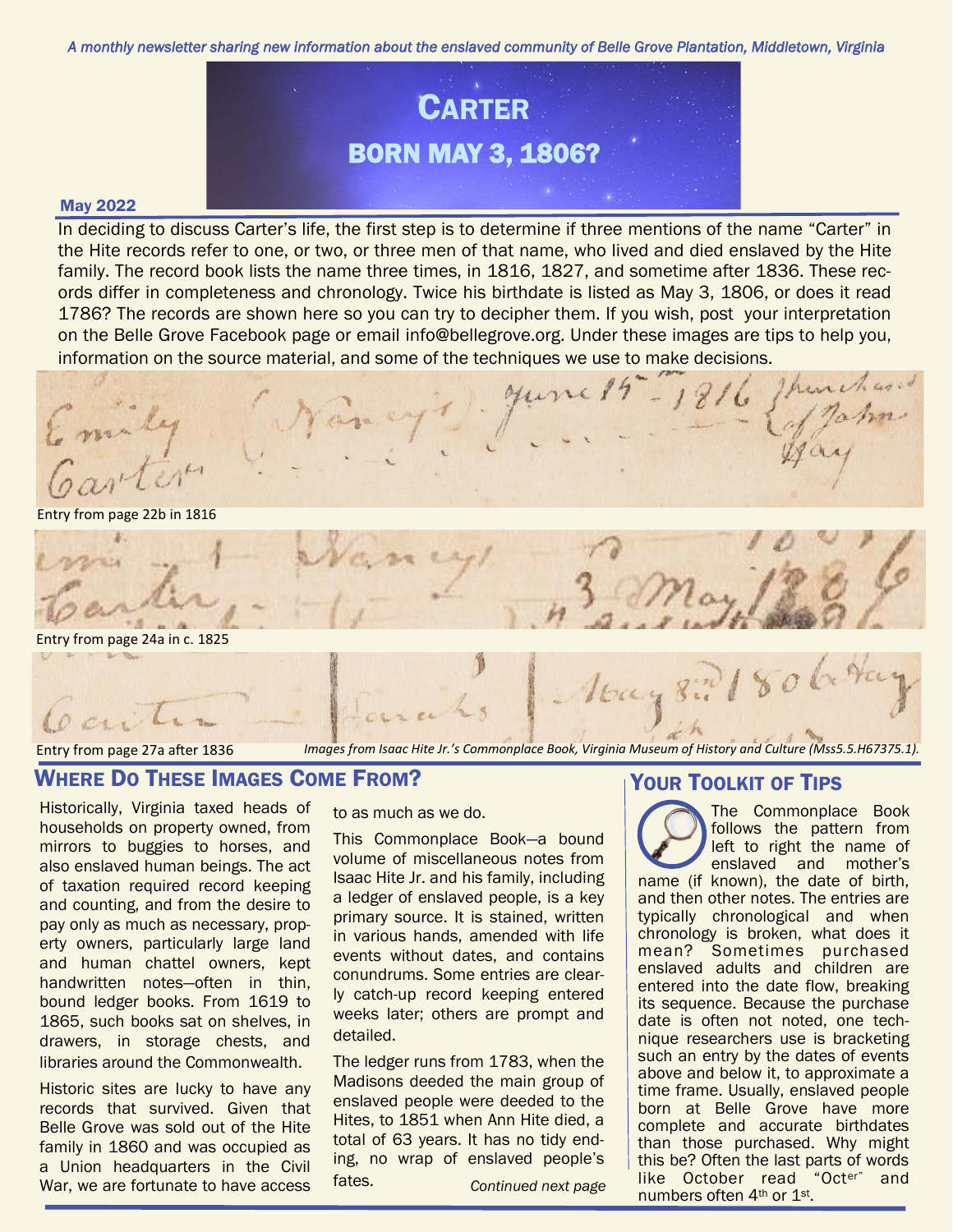*A monthly newsletter sharing new information about the enslaved community of Belle Grove Plantation, Middletown, Virginia* 



#### May 2022

In deciding to discuss Carter's life, the first step is to determine if three mentions of the name "Carter" in the Hite records refer to one, or two, or three men of that name, who lived and died enslaved by the Hite family. The record book lists the name three times, in 1816, 1827, and sometime after 1836. These records differ in completeness and chronology. Twice his birthdate is listed as May 3, 1806, or does it read 1786? The records are shown here so you can try to decipher them. If you wish, post your interpretation on the Belle Grove Facebook page or email info@bellegrove.org. Under these images are tips to help you, information on the source material, and some of the techniques we use to make decisions.

rjs June 19 - 1

Entry from page 22b in 1816



# Entry from page 27a after 1836

 $cnv$ 

*Images from Isaac Hite Jr.'s Commonplace Book, Virginia Museum of History and Culture (Mss5.5.H67375.1).* 

# WHERE DO THESE IMAGES COME FROM?

Historically, Virginia taxed heads of households on property owned, from mirrors to buggies to horses, and also enslaved human beings. The act of taxation required record keeping and counting, and from the desire to pay only as much as necessary, property owners, particularly large land and human chattel owners, kept handwritten notes—often in thin, bound ledger books. From 1619 to 1865, such books sat on shelves, in drawers, in storage chests, and libraries around the Commonwealth.

Historic sites are lucky to have any records that survived. Given that Belle Grove was sold out of the Hite family in 1860 and was occupied as a Union headquarters in the Civil War, we are fortunate to have access to as much as we do.

This Commonplace Book—a bound volume of miscellaneous notes from Isaac Hite Jr. and his family, including a ledger of enslaved people, is a key primary source. It is stained, written in various hands, amended with life events without dates, and contains conundrums. Some entries are clearly catch-up record keeping entered weeks later; others are prompt and detailed.

The ledger runs from 1783, when the Madisons deeded the main group of enslaved people were deeded to the Hites, to 1851 when Ann Hite died, a total of 63 years. It has no tidy ending, no wrap of enslaved people's fates. *Continued next page*

# YOUR TOOLKIT OF TIPS

The Commonplace Book follows the pattern from left to right the name of enslaved and mother's name (if known), the date of birth, and then other notes. The entries are typically chronological and when chronology is broken, what does it mean? Sometimes purchased enslaved adults and children are entered into the date flow, breaking its sequence. Because the purchase date is often not noted, one technique researchers use is bracketing such an entry by the dates of events above and below it, to approximate a time frame. Usually, enslaved people born at Belle Grove have more complete and accurate birthdates than those purchased. Why might this be? Often the last parts of words like October read "Octer" and numbers often 4th or 1st.